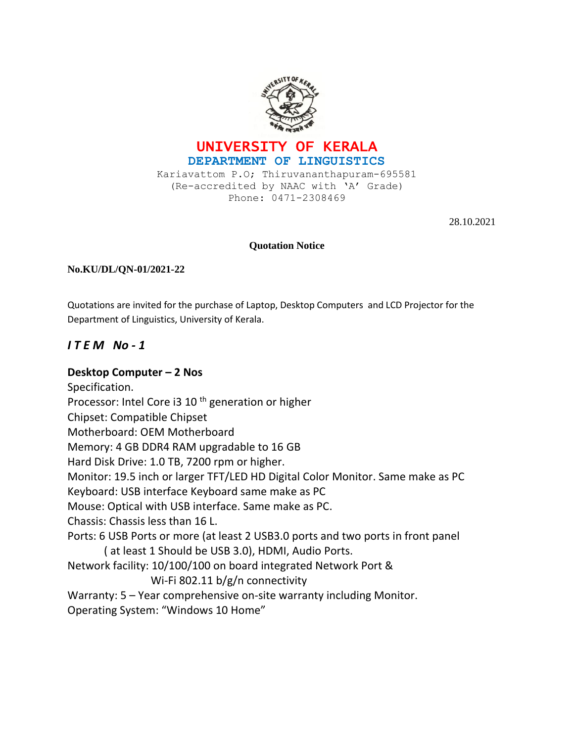



Kariavattom P.O; Thiruvananthapuram-695581 (Re-accredited by NAAC with 'A' Grade) Phone: 0471-2308469

28.10.2021

#### **Quotation Notice**

#### **No.KU/DL/QN-01/2021-22**

Quotations are invited for the purchase of Laptop, Desktop Computers and LCD Projector for the Department of Linguistics, University of Kerala.

### *I T E M No - 1*

#### **Desktop Computer – 2 Nos**

Specification. Processor: Intel Core i3 10<sup>th</sup> generation or higher Chipset: Compatible Chipset Motherboard: OEM Motherboard Memory: 4 GB DDR4 RAM upgradable to 16 GB Hard Disk Drive: 1.0 TB, 7200 rpm or higher. Monitor: 19.5 inch or larger TFT/LED HD Digital Color Monitor. Same make as PC Keyboard: USB interface Keyboard same make as PC Mouse: Optical with USB interface. Same make as PC. Chassis: Chassis less than 16 L. Ports: 6 USB Ports or more (at least 2 USB3.0 ports and two ports in front panel ( at least 1 Should be USB 3.0), HDMI, Audio Ports. Network facility: 10/100/100 on board integrated Network Port & Wi-Fi 802.11 b/g/n connectivity Warranty: 5 – Year comprehensive on-site warranty including Monitor. Operating System: "Windows 10 Home"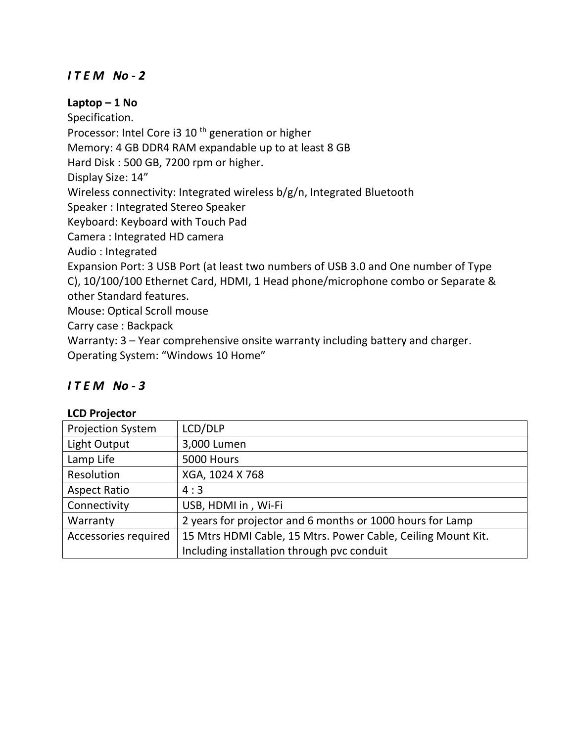# *I T E M No - 2*

### **Laptop – 1 No**

Specification. Processor: Intel Core i3 10<sup>th</sup> generation or higher Memory: 4 GB DDR4 RAM expandable up to at least 8 GB Hard Disk : 500 GB, 7200 rpm or higher. Display Size: 14" Wireless connectivity: Integrated wireless b/g/n, Integrated Bluetooth Speaker : Integrated Stereo Speaker Keyboard: Keyboard with Touch Pad Camera : Integrated HD camera Audio : Integrated Expansion Port: 3 USB Port (at least two numbers of USB 3.0 and One number of Type C), 10/100/100 Ethernet Card, HDMI, 1 Head phone/microphone combo or Separate & other Standard features. Mouse: Optical Scroll mouse Carry case : Backpack Warranty: 3 – Year comprehensive onsite warranty including battery and charger.

Operating System: "Windows 10 Home"

## *I T E M No - 3*

### **LCD Projector**

| <b>Projection System</b> | LCD/DLP                                                      |
|--------------------------|--------------------------------------------------------------|
| Light Output             | 3,000 Lumen                                                  |
| Lamp Life                | 5000 Hours                                                   |
| Resolution               | XGA, 1024 X 768                                              |
| <b>Aspect Ratio</b>      | 4:3                                                          |
| Connectivity             | USB, HDMI in, Wi-Fi                                          |
| Warranty                 | 2 years for projector and 6 months or 1000 hours for Lamp    |
| Accessories required     | 15 Mtrs HDMI Cable, 15 Mtrs. Power Cable, Ceiling Mount Kit. |
|                          | Including installation through pvc conduit                   |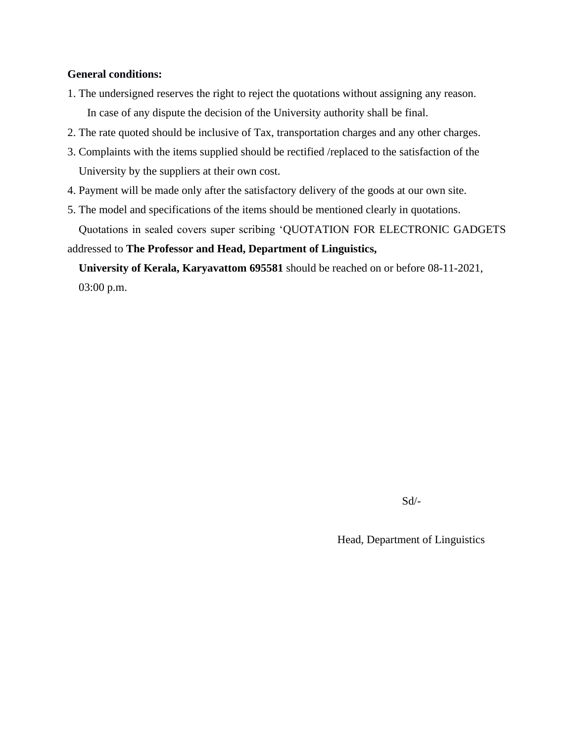#### **General conditions:**

- 1. The undersigned reserves the right to reject the quotations without assigning any reason. In case of any dispute the decision of the University authority shall be final.
- 2. The rate quoted should be inclusive of Tax, transportation charges and any other charges.
- 3. Complaints with the items supplied should be rectified /replaced to the satisfaction of the University by the suppliers at their own cost.
- 4. Payment will be made only after the satisfactory delivery of the goods at our own site.
- 5. The model and specifications of the items should be mentioned clearly in quotations. Quotations in sealed covers super scribing 'QUOTATION FOR ELECTRONIC GADGETS

addressed to **The Professor and Head, Department of Linguistics,** 

 **University of Kerala, Karyavattom 695581** should be reached on or before 08-11-2021, 03:00 p.m.

Sd/-

Head, Department of Linguistics